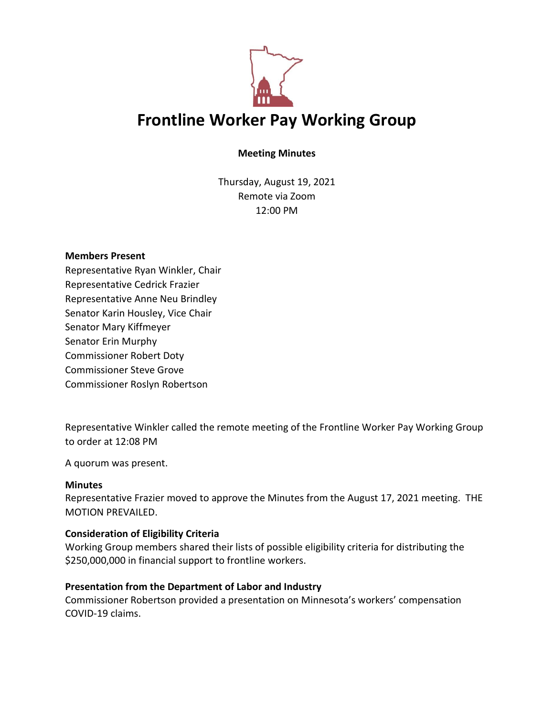

# **Meeting Minutes**

Thursday, August 19, 2021 Remote via Zoom 12:00 PM

### **Members Present**

Representative Ryan Winkler, Chair Representative Cedrick Frazier Representative Anne Neu Brindley Senator Karin Housley, Vice Chair Senator Mary Kiffmeyer Senator Erin Murphy Commissioner Robert Doty Commissioner Steve Grove Commissioner Roslyn Robertson

Representative Winkler called the remote meeting of the Frontline Worker Pay Working Group to order at 12:08 PM

A quorum was present.

## **Minutes**

Representative Frazier moved to approve the Minutes from the August 17, 2021 meeting. THE MOTION PREVAILED.

## **Consideration of Eligibility Criteria**

Working Group members shared their lists of possible eligibility criteria for distributing the \$250,000,000 in financial support to frontline workers.

## **Presentation from the Department of Labor and Industry**

Commissioner Robertson provided a presentation on Minnesota's workers' compensation COVID-19 claims.